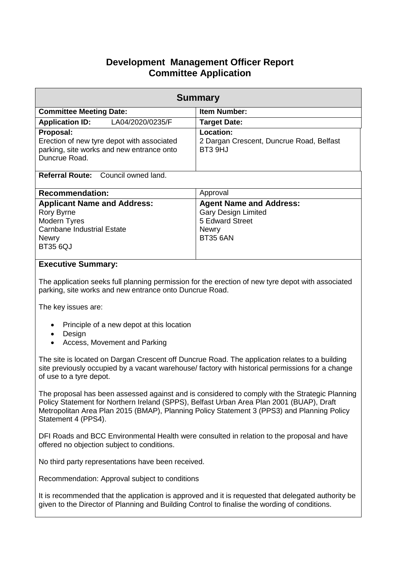## **Development Management Officer Report Committee Application**

| <b>Summary</b>                                                                                                                                                                                                                                                                                                  |                                                                                                                    |  |
|-----------------------------------------------------------------------------------------------------------------------------------------------------------------------------------------------------------------------------------------------------------------------------------------------------------------|--------------------------------------------------------------------------------------------------------------------|--|
| <b>Committee Meeting Date:</b>                                                                                                                                                                                                                                                                                  | <b>Item Number:</b>                                                                                                |  |
| <b>Application ID:</b><br>LA04/2020/0235/F                                                                                                                                                                                                                                                                      | <b>Target Date:</b>                                                                                                |  |
| Proposal:<br>Erection of new tyre depot with associated<br>parking, site works and new entrance onto<br>Duncrue Road.                                                                                                                                                                                           | Location:<br>2 Dargan Crescent, Duncrue Road, Belfast<br>BT3 9HJ                                                   |  |
| Referral Route: Council owned land.                                                                                                                                                                                                                                                                             |                                                                                                                    |  |
| <b>Recommendation:</b>                                                                                                                                                                                                                                                                                          | Approval                                                                                                           |  |
| <b>Applicant Name and Address:</b><br>Rory Byrne<br><b>Modern Tyres</b><br><b>Carnbane Industrial Estate</b><br><b>Newry</b><br><b>BT35 6QJ</b>                                                                                                                                                                 | <b>Agent Name and Address:</b><br><b>Gary Design Limited</b><br>5 Edward Street<br><b>Newry</b><br><b>BT35 6AN</b> |  |
| <b>Executive Summary:</b><br>The application seeks full planning permission for the erection of new tyre depot with associated<br>parking, site works and new entrance onto Duncrue Road.<br>The key issues are:                                                                                                |                                                                                                                    |  |
| Principle of a new depot at this location<br>Design<br>$\bullet$<br>Access, Movement and Parking<br>$\bullet$<br>The site is located on Dargan Crescent off Duncrue Road. The application relates to a building                                                                                                 |                                                                                                                    |  |
| site previously occupied by a vacant warehouse/ factory with historical permissions for a change<br>of use to a tyre depot.                                                                                                                                                                                     |                                                                                                                    |  |
| The proposal has been assessed against and is considered to comply with the Strategic Planning<br>Policy Statement for Northern Ireland (SPPS), Belfast Urban Area Plan 2001 (BUAP), Draft<br>Metropolitan Area Plan 2015 (BMAP), Planning Policy Statement 3 (PPS3) and Planning Policy<br>Statement 4 (PPS4). |                                                                                                                    |  |
| DEL Poade and RCC Environmental Hoalth were conculted in relation to the preparal and have                                                                                                                                                                                                                      |                                                                                                                    |  |

DFI Roads and BCC Environmental Health were consulted in relation to the proposal and have offered no objection subject to conditions.

No third party representations have been received.

Recommendation: Approval subject to conditions

It is recommended that the application is approved and it is requested that delegated authority be given to the Director of Planning and Building Control to finalise the wording of conditions.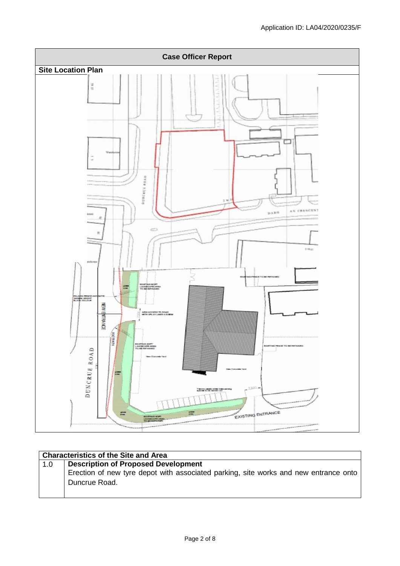

| <b>Characteristics of the Site and Area</b> |                                                                                      |  |
|---------------------------------------------|--------------------------------------------------------------------------------------|--|
| 1.0                                         | <b>Description of Proposed Development</b>                                           |  |
|                                             | Erection of new tyre depot with associated parking, site works and new entrance onto |  |
|                                             | Duncrue Road.                                                                        |  |
|                                             |                                                                                      |  |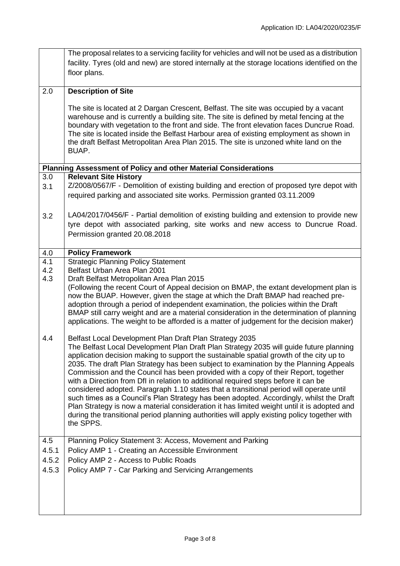|                | The proposal relates to a servicing facility for vehicles and will not be used as a distribution<br>facility. Tyres (old and new) are stored internally at the storage locations identified on the<br>floor plans.                                                                                                                                                                                                                                                                                                                                                                                                                                                                                                                                                                                                                                                                                                   |  |
|----------------|----------------------------------------------------------------------------------------------------------------------------------------------------------------------------------------------------------------------------------------------------------------------------------------------------------------------------------------------------------------------------------------------------------------------------------------------------------------------------------------------------------------------------------------------------------------------------------------------------------------------------------------------------------------------------------------------------------------------------------------------------------------------------------------------------------------------------------------------------------------------------------------------------------------------|--|
| 2.0            | <b>Description of Site</b>                                                                                                                                                                                                                                                                                                                                                                                                                                                                                                                                                                                                                                                                                                                                                                                                                                                                                           |  |
|                | The site is located at 2 Dargan Crescent, Belfast. The site was occupied by a vacant<br>warehouse and is currently a building site. The site is defined by metal fencing at the<br>boundary with vegetation to the front and side. The front elevation faces Duncrue Road.<br>The site is located inside the Belfast Harbour area of existing employment as shown in<br>the draft Belfast Metropolitan Area Plan 2015. The site is unzoned white land on the<br>BUAP.                                                                                                                                                                                                                                                                                                                                                                                                                                                |  |
|                | <b>Planning Assessment of Policy and other Material Considerations</b>                                                                                                                                                                                                                                                                                                                                                                                                                                                                                                                                                                                                                                                                                                                                                                                                                                               |  |
| 3.0<br>3.1     | <b>Relevant Site History</b><br>Z/2008/0567/F - Demolition of existing building and erection of proposed tyre depot with<br>required parking and associated site works. Permission granted 03.11.2009                                                                                                                                                                                                                                                                                                                                                                                                                                                                                                                                                                                                                                                                                                                |  |
| 3.2            | LA04/2017/0456/F - Partial demolition of existing building and extension to provide new<br>tyre depot with associated parking, site works and new access to Duncrue Road.<br>Permission granted 20.08.2018                                                                                                                                                                                                                                                                                                                                                                                                                                                                                                                                                                                                                                                                                                           |  |
| 4.0            | <b>Policy Framework</b>                                                                                                                                                                                                                                                                                                                                                                                                                                                                                                                                                                                                                                                                                                                                                                                                                                                                                              |  |
| 4.1            | <b>Strategic Planning Policy Statement</b>                                                                                                                                                                                                                                                                                                                                                                                                                                                                                                                                                                                                                                                                                                                                                                                                                                                                           |  |
| 4.2<br>4.3     | Belfast Urban Area Plan 2001<br>Draft Belfast Metropolitan Area Plan 2015                                                                                                                                                                                                                                                                                                                                                                                                                                                                                                                                                                                                                                                                                                                                                                                                                                            |  |
|                | (Following the recent Court of Appeal decision on BMAP, the extant development plan is<br>now the BUAP. However, given the stage at which the Draft BMAP had reached pre-<br>adoption through a period of independent examination, the policies within the Draft<br>BMAP still carry weight and are a material consideration in the determination of planning<br>applications. The weight to be afforded is a matter of judgement for the decision maker)                                                                                                                                                                                                                                                                                                                                                                                                                                                            |  |
| 4.4            | Belfast Local Development Plan Draft Plan Strategy 2035<br>The Belfast Local Development Plan Draft Plan Strategy 2035 will guide future planning<br>application decision making to support the sustainable spatial growth of the city up to<br>2035. The draft Plan Strategy has been subject to examination by the Planning Appeals<br>Commission and the Council has been provided with a copy of their Report, together<br>with a Direction from DfI in relation to additional required steps before it can be<br>considered adopted. Paragraph 1.10 states that a transitional period will operate until<br>such times as a Council's Plan Strategy has been adopted. Accordingly, whilst the Draft<br>Plan Strategy is now a material consideration it has limited weight until it is adopted and<br>during the transitional period planning authorities will apply existing policy together with<br>the SPPS. |  |
| 4.5            | Planning Policy Statement 3: Access, Movement and Parking                                                                                                                                                                                                                                                                                                                                                                                                                                                                                                                                                                                                                                                                                                                                                                                                                                                            |  |
| 4.5.1          | Policy AMP 1 - Creating an Accessible Environment                                                                                                                                                                                                                                                                                                                                                                                                                                                                                                                                                                                                                                                                                                                                                                                                                                                                    |  |
| 4.5.2<br>4.5.3 | Policy AMP 2 - Access to Public Roads<br>Policy AMP 7 - Car Parking and Servicing Arrangements                                                                                                                                                                                                                                                                                                                                                                                                                                                                                                                                                                                                                                                                                                                                                                                                                       |  |
|                |                                                                                                                                                                                                                                                                                                                                                                                                                                                                                                                                                                                                                                                                                                                                                                                                                                                                                                                      |  |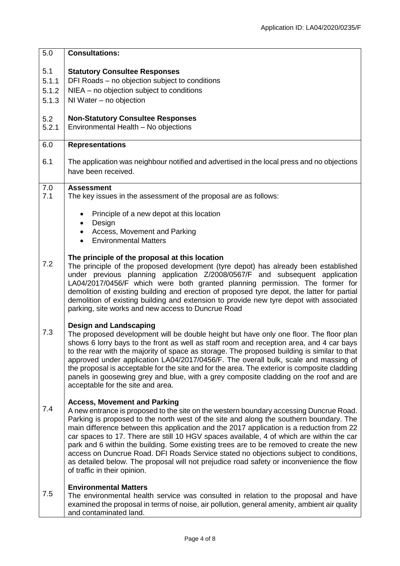| 5.0   | <b>Consultations:</b>                                                                                                                                                               |
|-------|-------------------------------------------------------------------------------------------------------------------------------------------------------------------------------------|
|       |                                                                                                                                                                                     |
| 5.1   | <b>Statutory Consultee Responses</b>                                                                                                                                                |
| 5.1.1 | DFI Roads - no objection subject to conditions                                                                                                                                      |
| 5.1.2 | NIEA - no objection subject to conditions                                                                                                                                           |
| 5.1.3 | NI Water - no objection                                                                                                                                                             |
|       |                                                                                                                                                                                     |
| 5.2   | <b>Non-Statutory Consultee Responses</b>                                                                                                                                            |
| 5.2.1 | Environmental Health - No objections                                                                                                                                                |
|       |                                                                                                                                                                                     |
| 6.0   | <b>Representations</b>                                                                                                                                                              |
| 6.1   | The application was neighbour notified and advertised in the local press and no objections                                                                                          |
|       | have been received.                                                                                                                                                                 |
|       |                                                                                                                                                                                     |
| 7.0   | <b>Assessment</b>                                                                                                                                                                   |
| 7.1   | The key issues in the assessment of the proposal are as follows:                                                                                                                    |
|       |                                                                                                                                                                                     |
|       | Principle of a new depot at this location                                                                                                                                           |
|       | Design<br>$\bullet$                                                                                                                                                                 |
|       | Access, Movement and Parking<br>$\bullet$                                                                                                                                           |
|       | <b>Environmental Matters</b><br>$\bullet$                                                                                                                                           |
|       |                                                                                                                                                                                     |
| 7.2   | The principle of the proposal at this location<br>The principle of the proposed development (tyre depot) has already been established                                               |
|       | under previous planning application Z/2008/0567/F and subsequent application                                                                                                        |
|       | LA04/2017/0456/F which were both granted planning permission. The former for                                                                                                        |
|       | demolition of existing building and erection of proposed tyre depot, the latter for partial                                                                                         |
|       | demolition of existing building and extension to provide new tyre depot with associated                                                                                             |
|       | parking, site works and new access to Duncrue Road                                                                                                                                  |
|       |                                                                                                                                                                                     |
|       | <b>Design and Landscaping</b>                                                                                                                                                       |
| 7.3   | The proposed development will be double height but have only one floor. The floor plan                                                                                              |
|       | shows 6 lorry bays to the front as well as staff room and reception area, and 4 car bays                                                                                            |
|       | to the rear with the majority of space as storage. The proposed building is similar to that                                                                                         |
|       | approved under application LA04/2017/0456/F. The overall bulk, scale and massing of<br>the proposal is acceptable for the site and for the area. The exterior is composite cladding |
|       | panels in goosewing grey and blue, with a grey composite cladding on the roof and are                                                                                               |
|       | acceptable for the site and area.                                                                                                                                                   |
|       |                                                                                                                                                                                     |
|       | <b>Access, Movement and Parking</b>                                                                                                                                                 |
| 7.4   | A new entrance is proposed to the site on the western boundary accessing Duncrue Road.                                                                                              |
|       | Parking is proposed to the north west of the site and along the southern boundary. The                                                                                              |
|       | main difference between this application and the 2017 application is a reduction from 22                                                                                            |
|       | car spaces to 17. There are still 10 HGV spaces available, 4 of which are within the car                                                                                            |
|       | park and 6 within the building. Some existing trees are to be removed to create the new                                                                                             |
|       | access on Duncrue Road. DFI Roads Service stated no objections subject to conditions,                                                                                               |
|       | as detailed below. The proposal will not prejudice road safety or inconvenience the flow                                                                                            |
|       | of traffic in their opinion.                                                                                                                                                        |
|       | <b>Environmental Matters</b>                                                                                                                                                        |
| 7.5   | The environmental health service was consulted in relation to the proposal and have                                                                                                 |
|       | examined the proposal in terms of noise, air pollution, general amenity, ambient air quality                                                                                        |
|       | and contaminated land.                                                                                                                                                              |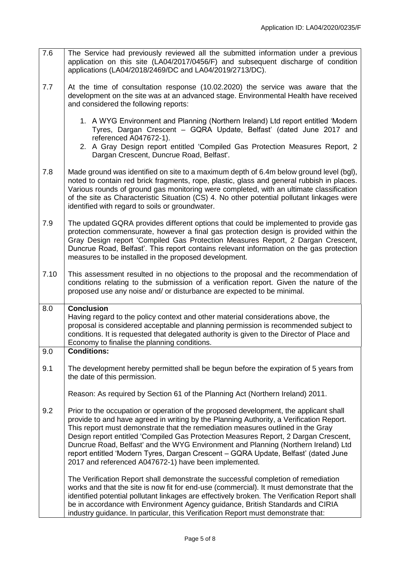| 7.6  | The Service had previously reviewed all the submitted information under a previous<br>application on this site (LA04/2017/0456/F) and subsequent discharge of condition<br>applications (LA04/2018/2469/DC and LA04/2019/2713/DC).                                                                                                                                                                                                                                                                                                                                                              |  |
|------|-------------------------------------------------------------------------------------------------------------------------------------------------------------------------------------------------------------------------------------------------------------------------------------------------------------------------------------------------------------------------------------------------------------------------------------------------------------------------------------------------------------------------------------------------------------------------------------------------|--|
| 7.7  | At the time of consultation response (10.02.2020) the service was aware that the<br>development on the site was at an advanced stage. Environmental Health have received<br>and considered the following reports:                                                                                                                                                                                                                                                                                                                                                                               |  |
|      | 1. A WYG Environment and Planning (Northern Ireland) Ltd report entitled 'Modern<br>Tyres, Dargan Crescent - GQRA Update, Belfast' (dated June 2017 and<br>referenced A047672-1).<br>2. A Gray Design report entitled 'Compiled Gas Protection Measures Report, 2<br>Dargan Crescent, Duncrue Road, Belfast'.                                                                                                                                                                                                                                                                                   |  |
| 7.8  | Made ground was identified on site to a maximum depth of 6.4m below ground level (bgl),<br>noted to contain red brick fragments, rope, plastic, glass and general rubbish in places.<br>Various rounds of ground gas monitoring were completed, with an ultimate classification<br>of the site as Characteristic Situation (CS) 4. No other potential pollutant linkages were<br>identified with regard to soils or groundwater.                                                                                                                                                                |  |
| 7.9  | The updated GQRA provides different options that could be implemented to provide gas<br>protection commensurate, however a final gas protection design is provided within the<br>Gray Design report 'Compiled Gas Protection Measures Report, 2 Dargan Crescent,<br>Duncrue Road, Belfast'. This report contains relevant information on the gas protection<br>measures to be installed in the proposed development.                                                                                                                                                                            |  |
| 7.10 | This assessment resulted in no objections to the proposal and the recommendation of<br>conditions relating to the submission of a verification report. Given the nature of the<br>proposed use any noise and/ or disturbance are expected to be minimal.                                                                                                                                                                                                                                                                                                                                        |  |
| 8.0  | <b>Conclusion</b><br>Having regard to the policy context and other material considerations above, the<br>proposal is considered acceptable and planning permission is recommended subject to<br>conditions. It is requested that delegated authority is given to the Director of Place and<br>Economy to finalise the planning conditions.                                                                                                                                                                                                                                                      |  |
| 9.0  | <b>Conditions:</b>                                                                                                                                                                                                                                                                                                                                                                                                                                                                                                                                                                              |  |
| 9.1  | The development hereby permitted shall be begun before the expiration of 5 years from<br>the date of this permission.                                                                                                                                                                                                                                                                                                                                                                                                                                                                           |  |
|      | Reason: As required by Section 61 of the Planning Act (Northern Ireland) 2011.                                                                                                                                                                                                                                                                                                                                                                                                                                                                                                                  |  |
| 9.2  | Prior to the occupation or operation of the proposed development, the applicant shall<br>provide to and have agreed in writing by the Planning Authority, a Verification Report.<br>This report must demonstrate that the remediation measures outlined in the Gray<br>Design report entitled 'Compiled Gas Protection Measures Report, 2 Dargan Crescent,<br>Duncrue Road, Belfast' and the WYG Environment and Planning (Northern Ireland) Ltd<br>report entitled 'Modern Tyres, Dargan Crescent - GQRA Update, Belfast' (dated June<br>2017 and referenced A047672-1) have been implemented. |  |
|      | The Verification Report shall demonstrate the successful completion of remediation<br>works and that the site is now fit for end-use (commercial). It must demonstrate that the<br>identified potential pollutant linkages are effectively broken. The Verification Report shall<br>be in accordance with Environment Agency guidance, British Standards and CIRIA                                                                                                                                                                                                                              |  |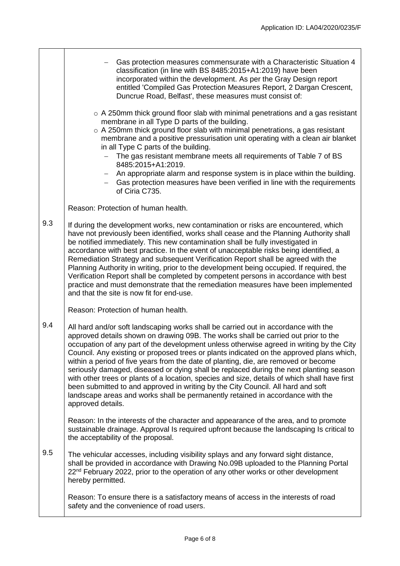|     | Gas protection measures commensurate with a Characteristic Situation 4<br>classification (in line with BS 8485:2015+A1:2019) have been<br>incorporated within the development. As per the Gray Design report<br>entitled 'Compiled Gas Protection Measures Report, 2 Dargan Crescent,<br>Duncrue Road, Belfast', these measures must consist of:                                                                                                                                                                                                                                                                                                                                                                                                                                                                                              |
|-----|-----------------------------------------------------------------------------------------------------------------------------------------------------------------------------------------------------------------------------------------------------------------------------------------------------------------------------------------------------------------------------------------------------------------------------------------------------------------------------------------------------------------------------------------------------------------------------------------------------------------------------------------------------------------------------------------------------------------------------------------------------------------------------------------------------------------------------------------------|
|     | $\circ$ A 250mm thick ground floor slab with minimal penetrations and a gas resistant<br>membrane in all Type D parts of the building.<br>$\circ$ A 250mm thick ground floor slab with minimal penetrations, a gas resistant<br>membrane and a positive pressurisation unit operating with a clean air blanket<br>in all Type C parts of the building.<br>The gas resistant membrane meets all requirements of Table 7 of BS<br>8485:2015+A1:2019.<br>An appropriate alarm and response system is in place within the building.<br>Gas protection measures have been verified in line with the requirements<br>of Ciria C735.                                                                                                                                                                                                                 |
|     | Reason: Protection of human health.                                                                                                                                                                                                                                                                                                                                                                                                                                                                                                                                                                                                                                                                                                                                                                                                           |
| 9.3 | If during the development works, new contamination or risks are encountered, which<br>have not previously been identified, works shall cease and the Planning Authority shall<br>be notified immediately. This new contamination shall be fully investigated in<br>accordance with best practice. In the event of unacceptable risks being identified, a<br>Remediation Strategy and subsequent Verification Report shall be agreed with the<br>Planning Authority in writing, prior to the development being occupied. If required, the<br>Verification Report shall be completed by competent persons in accordance with best<br>practice and must demonstrate that the remediation measures have been implemented<br>and that the site is now fit for end-use.                                                                             |
|     | Reason: Protection of human health.                                                                                                                                                                                                                                                                                                                                                                                                                                                                                                                                                                                                                                                                                                                                                                                                           |
| 9.4 | All hard and/or soft landscaping works shall be carried out in accordance with the<br>approved details shown on drawing 09B. The works shall be carried out prior to the<br>occupation of any part of the development unless otherwise agreed in writing by the City<br>Council. Any existing or proposed trees or plants indicated on the approved plans which,<br>within a period of five years from the date of planting, die, are removed or become<br>seriously damaged, diseased or dying shall be replaced during the next planting season<br>with other trees or plants of a location, species and size, details of which shall have first<br>been submitted to and approved in writing by the City Council. All hard and soft<br>landscape areas and works shall be permanently retained in accordance with the<br>approved details. |
|     | Reason: In the interests of the character and appearance of the area, and to promote<br>sustainable drainage. Approval Is required upfront because the landscaping Is critical to<br>the acceptability of the proposal.                                                                                                                                                                                                                                                                                                                                                                                                                                                                                                                                                                                                                       |
| 9.5 | The vehicular accesses, including visibility splays and any forward sight distance,<br>shall be provided in accordance with Drawing No.09B uploaded to the Planning Portal<br>$22nd$ February 2022, prior to the operation of any other works or other development<br>hereby permitted.                                                                                                                                                                                                                                                                                                                                                                                                                                                                                                                                                       |
|     | Reason: To ensure there is a satisfactory means of access in the interests of road<br>safety and the convenience of road users.                                                                                                                                                                                                                                                                                                                                                                                                                                                                                                                                                                                                                                                                                                               |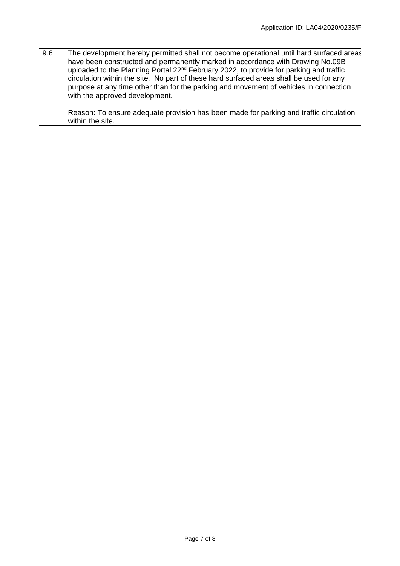| 9.6 | The development hereby permitted shall not become operational until hard surfaced areas            |
|-----|----------------------------------------------------------------------------------------------------|
|     | have been constructed and permanently marked in accordance with Drawing No.09B                     |
|     | uploaded to the Planning Portal 22 <sup>nd</sup> February 2022, to provide for parking and traffic |
|     | circulation within the site. No part of these hard surfaced areas shall be used for any            |
|     | purpose at any time other than for the parking and movement of vehicles in connection              |
|     | with the approved development.                                                                     |
|     |                                                                                                    |

Reason: To ensure adequate provision has been made for parking and traffic circulation within the site.